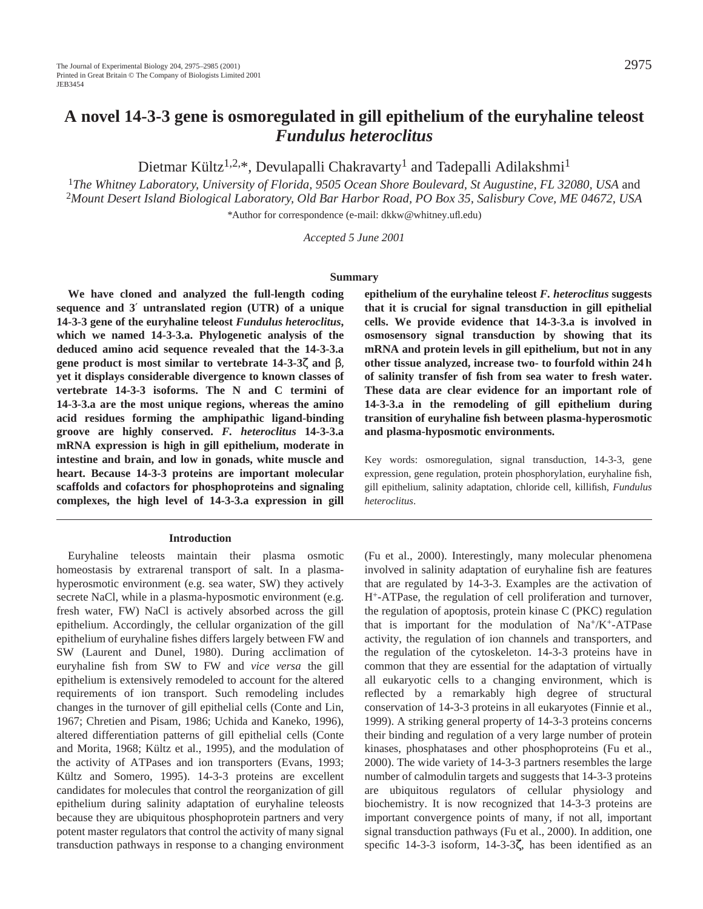# **A novel 14-3-3 gene is osmoregulated in gill epithelium of the euryhaline teleost** *Fundulus heteroclitus*

Dietmar Kültz<sup>1,2,\*</sup>, Devulapalli Chakravarty<sup>1</sup> and Tadepalli Adilakshmi<sup>1</sup>

<sup>1</sup>*The Whitney Laboratory, University of Florida, 9505 Ocean Shore Boulevard, St Augustine, FL 32080, USA* and <sup>2</sup>*Mount Desert Island Biological Laboratory, Old Bar Harbor Road, PO Box 35, Salisbury Cove, ME 04672, USA \**Author for correspondence (e-mail: dkkw@whitney.ufl.edu)

*Accepted 5 June 2001*

#### **Summary**

**We have cloned and analyzed the full-length coding sequence and 3**′ **untranslated region (UTR) of a unique 14-3-3 gene of the euryhaline teleost** *Fundulus heteroclitus***, which we named 14-3-3.a. Phylogenetic analysis of the deduced amino acid sequence revealed that the 14-3-3.a gene product is most similar to vertebrate 14-3-3**ζ **and** β, **yet it displays considerable divergence to known classes of vertebrate 14-3-3 isoforms. The N and C termini of 14-3-3.a are the most unique regions, whereas the amino acid residues forming the amphipathic ligand-binding groove are highly conserved.** *F. heteroclitus* **14-3-3.a mRNA expression is high in gill epithelium, moderate in intestine and brain, and low in gonads, white muscle and heart. Because 14-3-3 proteins are important molecular scaffolds and cofactors for phosphoproteins and signaling complexes, the high level of 14-3-3.a expression in gill**

## **Introduction**

Euryhaline teleosts maintain their plasma osmotic homeostasis by extrarenal transport of salt. In a plasmahyperosmotic environment (e.g. sea water, SW) they actively secrete NaCl, while in a plasma-hyposmotic environment (e.g. fresh water, FW) NaCl is actively absorbed across the gill epithelium. Accordingly, the cellular organization of the gill epithelium of euryhaline fishes differs largely between FW and SW (Laurent and Dunel, 1980). During acclimation of euryhaline fish from SW to FW and *vice versa* the gill epithelium is extensively remodeled to account for the altered requirements of ion transport. Such remodeling includes changes in the turnover of gill epithelial cells (Conte and Lin, 1967; Chretien and Pisam, 1986; Uchida and Kaneko, 1996), altered differentiation patterns of gill epithelial cells (Conte and Morita, 1968; Kültz et al., 1995), and the modulation of the activity of ATPases and ion transporters (Evans, 1993; Kültz and Somero, 1995). 14-3-3 proteins are excellent candidates for molecules that control the reorganization of gill epithelium during salinity adaptation of euryhaline teleosts because they are ubiquitous phosphoprotein partners and very potent master regulators that control the activity of many signal transduction pathways in response to a changing environment

**epithelium of the euryhaline teleost** *F. heteroclitus* **suggests that it is crucial for signal transduction in gill epithelial cells. We provide evidence that 14-3-3.a is involved in osmosensory signal transduction by showing that its mRNA and protein levels in gill epithelium, but not in any other tissue analyzed, increase two- to fourfold within 24 h of salinity transfer of fish from sea water to fresh water. These data are clear evidence for an important role of 14-3-3.a in the remodeling of gill epithelium during transition of euryhaline fish between plasma-hyperosmotic and plasma-hyposmotic environments.**

Key words: osmoregulation, signal transduction, 14-3-3, gene expression, gene regulation, protein phosphorylation, euryhaline fish, gill epithelium, salinity adaptation, chloride cell, killifish, *Fundulus heteroclitus*.

(Fu et al., 2000). Interestingly, many molecular phenomena involved in salinity adaptation of euryhaline fish are features that are regulated by 14-3-3. Examples are the activation of H+-ATPase, the regulation of cell proliferation and turnover, the regulation of apoptosis, protein kinase C (PKC) regulation that is important for the modulation of  $Na^+/K^+$ -ATPase activity, the regulation of ion channels and transporters, and the regulation of the cytoskeleton. 14-3-3 proteins have in common that they are essential for the adaptation of virtually all eukaryotic cells to a changing environment, which is reflected by a remarkably high degree of structural conservation of 14-3-3 proteins in all eukaryotes (Finnie et al., 1999). A striking general property of 14-3-3 proteins concerns their binding and regulation of a very large number of protein kinases, phosphatases and other phosphoproteins (Fu et al., 2000). The wide variety of 14-3-3 partners resembles the large number of calmodulin targets and suggests that 14-3-3 proteins are ubiquitous regulators of cellular physiology and biochemistry. It is now recognized that 14-3-3 proteins are important convergence points of many, if not all, important signal transduction pathways (Fu et al., 2000). In addition, one specific 14-3-3 isoform, 14-3-3ζ, has been identified as an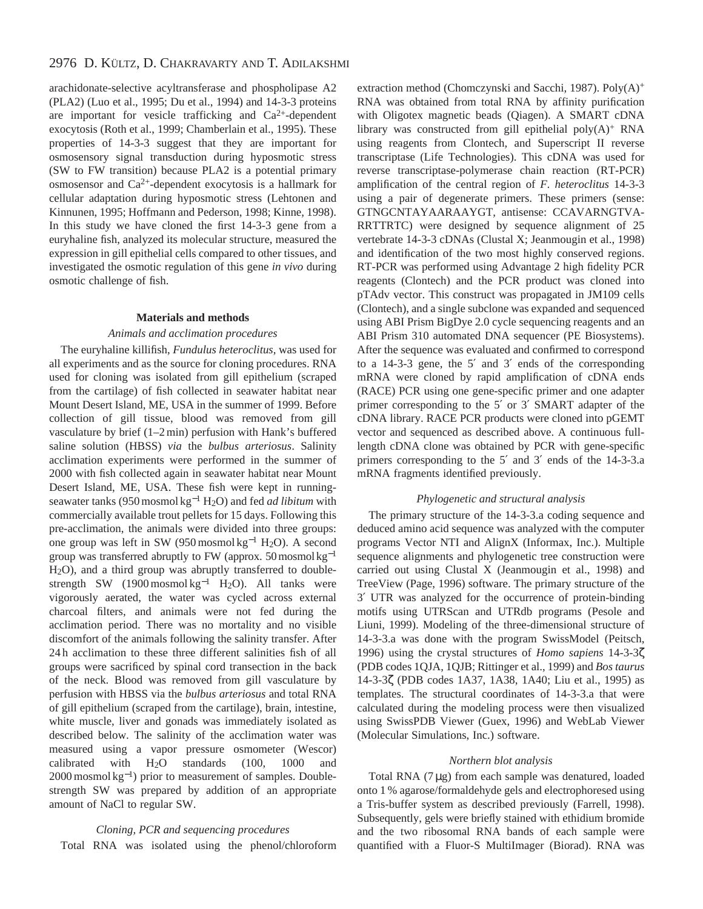arachidonate-selective acyltransferase and phospholipase A2 (PLA2) (Luo et al., 1995; Du et al., 1994) and 14-3-3 proteins are important for vesicle trafficking and  $Ca^{2+}$ -dependent exocytosis (Roth et al., 1999; Chamberlain et al., 1995). These properties of 14-3-3 suggest that they are important for osmosensory signal transduction during hyposmotic stress (SW to FW transition) because PLA2 is a potential primary osmosensor and  $Ca^{2+}$ -dependent exocytosis is a hallmark for cellular adaptation during hyposmotic stress (Lehtonen and Kinnunen, 1995; Hoffmann and Pederson, 1998; Kinne, 1998). In this study we have cloned the first 14-3-3 gene from a euryhaline fish, analyzed its molecular structure, measured the expression in gill epithelial cells compared to other tissues, and investigated the osmotic regulation of this gene *in vivo* during osmotic challenge of fish.

#### **Materials and methods**

#### *Animals and acclimation procedures*

The euryhaline killifish, *Fundulus heteroclitus*, was used for all experiments and as the source for cloning procedures. RNA used for cloning was isolated from gill epithelium (scraped from the cartilage) of fish collected in seawater habitat near Mount Desert Island, ME, USA in the summer of 1999. Before collection of gill tissue, blood was removed from gill vasculature by brief (1–2 min) perfusion with Hank's buffered saline solution (HBSS) *via* the *bulbus arteriosus*. Salinity acclimation experiments were performed in the summer of 2000 with fish collected again in seawater habitat near Mount Desert Island, ME, USA. These fish were kept in runningseawater tanks (950 mosmol kg−<sup>1</sup> H2O) and fed *ad libitum* with commercially available trout pellets for 15 days. Following this pre-acclimation, the animals were divided into three groups: one group was left in SW (950 mosmol kg−<sup>1</sup> H2O). A second group was transferred abruptly to FW (approx. 50 mosmol kg<sup>-1</sup> H2O), and a third group was abruptly transferred to doublestrength SW  $(1900 \text{ mosh} \text{kg}^{-1} \text{ H}_2\text{O})$ . All tanks were vigorously aerated, the water was cycled across external charcoal filters, and animals were not fed during the acclimation period. There was no mortality and no visible discomfort of the animals following the salinity transfer. After 24 h acclimation to these three different salinities fish of all groups were sacrificed by spinal cord transection in the back of the neck. Blood was removed from gill vasculature by perfusion with HBSS via the *bulbus arteriosus* and total RNA of gill epithelium (scraped from the cartilage), brain, intestine, white muscle, liver and gonads was immediately isolated as described below. The salinity of the acclimation water was measured using a vapor pressure osmometer (Wescor) calibrated with  $H<sub>2</sub>O$  standards (100, 1000 and 2000 mosmol kg<sup>-1</sup>) prior to measurement of samples. Doublestrength SW was prepared by addition of an appropriate amount of NaCl to regular SW.

## *Cloning, PCR and sequencing procedures*

Total RNA was isolated using the phenol/chloroform

extraction method (Chomczynski and Sacchi, 1987). Poly(A)<sup>+</sup> RNA was obtained from total RNA by affinity purification with Oligotex magnetic beads (Qiagen). A SMART cDNA library was constructed from gill epithelial  $poly(A)^+$  RNA using reagents from Clontech, and Superscript II reverse transcriptase (Life Technologies). This cDNA was used for reverse transcriptase-polymerase chain reaction (RT-PCR) amplification of the central region of *F. heteroclitus* 14-3-3 using a pair of degenerate primers. These primers (sense: GTNGCNTAYAARAAYGT, antisense: CCAVARNGTVA-RRTTRTC) were designed by sequence alignment of 25 vertebrate 14-3-3 cDNAs (Clustal X; Jeanmougin et al., 1998) and identification of the two most highly conserved regions. RT-PCR was performed using Advantage 2 high fidelity PCR reagents (Clontech) and the PCR product was cloned into pTAdv vector. This construct was propagated in JM109 cells (Clontech), and a single subclone was expanded and sequenced using ABI Prism BigDye 2.0 cycle sequencing reagents and an ABI Prism 310 automated DNA sequencer (PE Biosystems). After the sequence was evaluated and confirmed to correspond to a 14-3-3 gene, the 5′ and 3′ ends of the corresponding mRNA were cloned by rapid amplification of cDNA ends (RACE) PCR using one gene-specific primer and one adapter primer corresponding to the 5′ or 3′ SMART adapter of the cDNA library. RACE PCR products were cloned into pGEMT vector and sequenced as described above. A continuous fulllength cDNA clone was obtained by PCR with gene-specific primers corresponding to the 5′ and 3′ ends of the 14-3-3.a mRNA fragments identified previously.

## *Phylogenetic and structural analysis*

The primary structure of the 14-3-3.a coding sequence and deduced amino acid sequence was analyzed with the computer programs Vector NTI and AlignX (Informax, Inc.). Multiple sequence alignments and phylogenetic tree construction were carried out using Clustal X (Jeanmougin et al., 1998) and TreeView (Page, 1996) software. The primary structure of the 3′ UTR was analyzed for the occurrence of protein-binding motifs using UTRScan and UTRdb programs (Pesole and Liuni, 1999). Modeling of the three-dimensional structure of 14-3-3.a was done with the program SwissModel (Peitsch, 1996) using the crystal structures of *Homo sapiens* 14-3-3ζ (PDB codes 1QJA, 1QJB; Rittinger et al., 1999) and *Bos taurus* 14-3-3ζ (PDB codes 1A37, 1A38, 1A40; Liu et al., 1995) as templates. The structural coordinates of 14-3-3.a that were calculated during the modeling process were then visualized using SwissPDB Viewer (Guex, 1996) and WebLab Viewer (Molecular Simulations, Inc.) software.

# *Northern blot analysis*

Total RNA (7 µg) from each sample was denatured, loaded onto 1 % agarose/formaldehyde gels and electrophoresed using a Tris-buffer system as described previously (Farrell, 1998). Subsequently, gels were briefly stained with ethidium bromide and the two ribosomal RNA bands of each sample were quantified with a Fluor-S MultiImager (Biorad). RNA was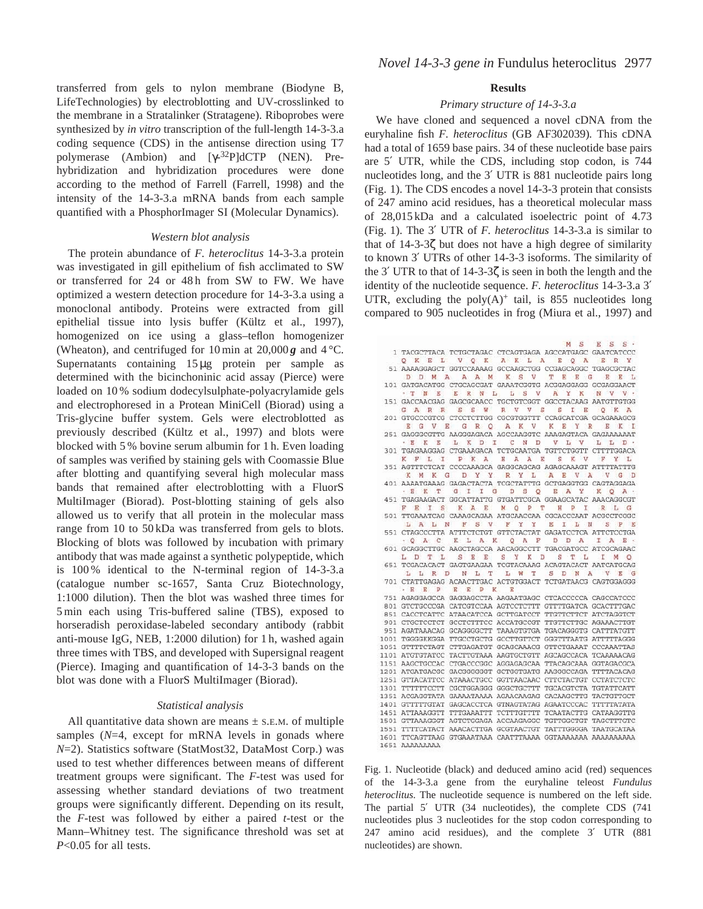transferred from gels to nylon membrane (Biodyne B, LifeTechnologies) by electroblotting and UV-crosslinked to the membrane in a Stratalinker (Stratagene). Riboprobes were synthesized by *in vitro* transcription of the full-length 14-3-3.a coding sequence (CDS) in the antisense direction using T7 polymerase (Ambion) and [γ-32P]dCTP (NEN). Prehybridization and hybridization procedures were done according to the method of Farrell (Farrell, 1998) and the intensity of the 14-3-3.a mRNA bands from each sample quantified with a PhosphorImager SI (Molecular Dynamics).

## *Western blot analysis*

The protein abundance of *F. heteroclitus* 14-3-3.a protein was investigated in gill epithelium of fish acclimated to SW or transferred for 24 or 48h from SW to FW. We have optimized a western detection procedure for 14-3-3.a using a monoclonal antibody. Proteins were extracted from gill epithelial tissue into lysis buffer (Kültz et al., 1997), homogenized on ice using a glass–teflon homogenizer (Wheaton), and centrifuged for 10 min at  $20,000\mathbf{g}$  and  $4^{\circ}\text{C}$ . Supernatants containing 15 µg protein per sample as determined with the bicinchoninic acid assay (Pierce) were loaded on 10 % sodium dodecylsulphate-polyacrylamide gels and electrophoresed in a Protean MiniCell (Biorad) using a Tris-glycine buffer system. Gels were electroblotted as previously described (Kültz et al., 1997) and blots were blocked with 5 % bovine serum albumin for 1 h. Even loading of samples was verified by staining gels with Coomassie Blue after blotting and quantifying several high molecular mass bands that remained after electroblotting with a FluorS MultiImager (Biorad). Post-blotting staining of gels also allowed us to verify that all protein in the molecular mass range from 10 to 50 kDa was transferred from gels to blots. Blocking of blots was followed by incubation with primary antibody that was made against a synthetic polypeptide, which is 100 % identical to the N-terminal region of 14-3-3.a (catalogue number sc-1657, Santa Cruz Biotechnology, 1:1000 dilution). Then the blot was washed three times for 5 min each using Tris-buffered saline (TBS), exposed to horseradish peroxidase-labeled secondary antibody (rabbit anti-mouse IgG, NEB, 1:2000 dilution) for 1 h, washed again three times with TBS, and developed with Supersignal reagent (Pierce). Imaging and quantification of 14-3-3 bands on the blot was done with a FluorS MultiImager (Biorad).

# *Statistical analysis*

All quantitative data shown are means  $\pm$  s.e.m. of multiple samples (*N*=4, except for mRNA levels in gonads where *N*=2). Statistics software (StatMost32, DataMost Corp.) was used to test whether differences between means of different treatment groups were significant. The *F*-test was used for assessing whether standard deviations of two treatment groups were significantly different. Depending on its result, the *F*-test was followed by either a paired *t*-test or the Mann–Whitney test. The significance threshold was set at *P*<0.05 for all tests.

## **Results**

## *Primary structure of 14-3-3.a*

We have cloned and sequenced a novel cDNA from the euryhaline fish *F. heteroclitus* (GB AF302039)*.* This cDNA had a total of 1659 base pairs. 34 of these nucleotide base pairs are 5′ UTR, while the CDS, including stop codon, is 744 nucleotides long, and the 3' UTR is 881 nucleotide pairs long (Fig. 1). The CDS encodes a novel 14-3-3 protein that consists of 247 amino acid residues, has a theoretical molecular mass of 28,015 kDa and a calculated isoelectric point of 4.73 (Fig. 1). The 3′ UTR of *F. heteroclitus* 14-3-3.a is similar to that of 14-3-3ζ but does not have a high degree of similarity to known 3′ UTRs of other 14-3-3 isoforms. The similarity of the 3' UTR to that of  $14-3-3\zeta$  is seen in both the length and the identity of the nucleotide sequence. *F. heteroclitus* 14-3-3.a 3′ UTR, excluding the poly $(A)^+$  tail, is 855 nucleotides long compared to 905 nucleotides in frog (Miura et al., 1997) and

| $M_S$<br>$E$ $S$ $S$ $\cdot$                                |
|-------------------------------------------------------------|
| 1 TACGCTTACA TCTGCTAGAC CTCAGTGAGA AGCCATGAGC GAATCATCCC    |
| Q K E L V Q K A K L A<br>EQA<br>ERY                         |
| 51 AAAAGGAGCT GGTCCAAAAG GCCAAGCTGG CCGAGCAGGC TGAGCGCTAC   |
| A A M<br>K S V T<br>D D M A<br>EEG<br>回<br>E L              |
| 101 GATGACATGG CTGCAGCGAT GAAATCGGTG ACGGAGGAGG GCGAGGAACT  |
| TNE ERNL LSV<br>A Y K<br>N V V                              |
| 151 GACCAACGAG GAGCGCAACC TGCTGTCGGT GGCCTACAAG AATGTTGTGG  |
| S S W R V V S<br>S I E<br>GARR<br>O K A                     |
| 201 GTGCCCGTCG CTCCTCTTGG CGCGTGGTTT CCAGCATCGA GCAGAAAGCG  |
| Y R<br>EGVE GRO AKV<br>K<br>в.<br>回<br>KI                   |
| 251 GAGGGCGTTG AAGGGAGACA AGCCAAGGTC AAAGAGTACA GAGAAAAAAT  |
| KELKDICND<br>V L V<br>L L D<br>- E                          |
| 301 TGAGAAGGAG CTGAAAGACA TCTGCAATGA TGTTCTGGTT CTTTTGGACA  |
| K F L I P K A E A A E<br>SKV<br>F Y L                       |
| 351 AGTTTCTCAT CCCCAAAGCA GAGGCAGCAG AGAGCAAAGT ATTTTATTTG  |
| D Y Y R Y L<br>A E V A<br>K M K G<br>VG D                   |
| 401 AAAATGAAAG GAGACTACTA TCGCTATTTG GCTGAGGTGG CAGTAGGAGA  |
| G I I<br>G D S O E A Y<br>· E K T<br>K<br>$O$ $A$ $\cdot$   |
| 451 TGAGAAGACT GGCATTATTG GTGATTCGCA GGAAGCATAC AAACAGGCGT  |
| KAEMOPT HPIRLG<br>F E I S                                   |
| 501 TTGAAATCAG CAAAGCAGAA ATGCAACCAA CGCACCCAAT ACGCCTCGGC  |
| LALN FSV FYY<br>E I L N S P E                               |
| 551 CTAGCCCTTA ATTTCTCTGT GTTCTACTAT GAGATCCTCA ATTCTCCTGA  |
| OAC KLAK OAF DDA IAE.                                       |
| 601 GCAGGCTTGC AAGCTAGCCA AACAGGCCTT TGACGATGCC ATCGCAGAAC  |
| L D T L S E E S Y K D S T L I M O                           |
| 651 TCGACACACT GAGTGAAGAA TCGTACAAAG ACAGTACACT AATCATGCAG  |
| L L R D N L T L W T<br>S D N A V E G                        |
| 701 CTATTGAGAG ACAACTTGAC ACTGTGGACT TCTGATAACG CAGTGGAGGG  |
| · E E P<br>E E P K<br>E                                     |
| 751 AGAGGAGCCA GAGGAGCCTA AAGAATGAGC CTCACCCCCA CAGCCATCCC  |
| 801 GTCTGCCCGA CATCGTCCAA AGTCCTCTTT GTTTTGATCA GCACTTTGAC  |
| 851 CACCTCATTC ATAACATCCA GCTTGATCCT TTGTTCTTCT ATCTAGGTCT  |
| 901 CTGCTCCTCT GCCTCTTTCC ACCATGCCGT TTGTTCTTGC AGAAACTTGT  |
| 951 AGATAAACAG GCAGGGGCTT TAAAGTGTGA TGACAGGGTG CATTTATGTT  |
| 1001 TGGGGKKGGA TTGCCTGCTG GCCTTGTTCT GGGTTTAATG ATTTTTAGGG |
| 1051 GTTTTCTAGT CTTGAGATGT GCAGCAAACG GTTCTGAAAT CCCAAATTAS |
| 1101 ATGTGTATCC TACTTGTAAA AAGTGCTGTT AGCAGCCACA TCAAAAACAG |
| 1151 AAGCTGCCAC CTGACCCGGC AGGAGAGCAA TTACAGCAAA GGTAGACGCA |
| 1201 ATGATGACGC GACGGGGGGT GCTGGTGATG AAGGGCCAGA TTTTACACAG |
| 1251 GTTACATTCC ATAAACTGCC GGTTAACAAC CTTCTACTGT CCTATCTCTC |
| 1301 TTTTTTCCTT CGCTGGAGGG GGGCTGCTTT TGCACGTCTA TGTATTCATT |
| 1351 ACGAGGTATA GAAAATAAAA AGAACAAGAG CACAAGCTTG TACTGTTGCT |
| 1401 GTTTTTGTAT GAGCACCTCA GTNAGTATAG AGAATCCCAC TTTTTATATA |
| 1451 ATTAAAGGTT TTTGAAATTT TCTTTGTTTT TCAATACTTG CATAAGGTTG |
| 1501 GTTAAAGGGT AGTCTGGAGA ACCAAGAGGC TGTTGGCTGT TAGCTTTGTC |
| 1551 TTTTCATACT AAACACTTGA GCGTAACTGT TATTTGGGGA TAATGCATAA |
|                                                             |
| 1651 AAAAAAAAA                                              |

Fig. 1. Nucleotide (black) and deduced amino acid (red) sequences of the 14-3-3.a gene from the euryhaline teleost *Fundulus heteroclitus.* The nucleotide sequence is numbered on the left side. The partial 5′ UTR (34 nucleotides), the complete CDS (741 nucleotides plus 3 nucleotides for the stop codon corresponding to 247 amino acid residues), and the complete 3′ UTR (881 nucleotides) are shown.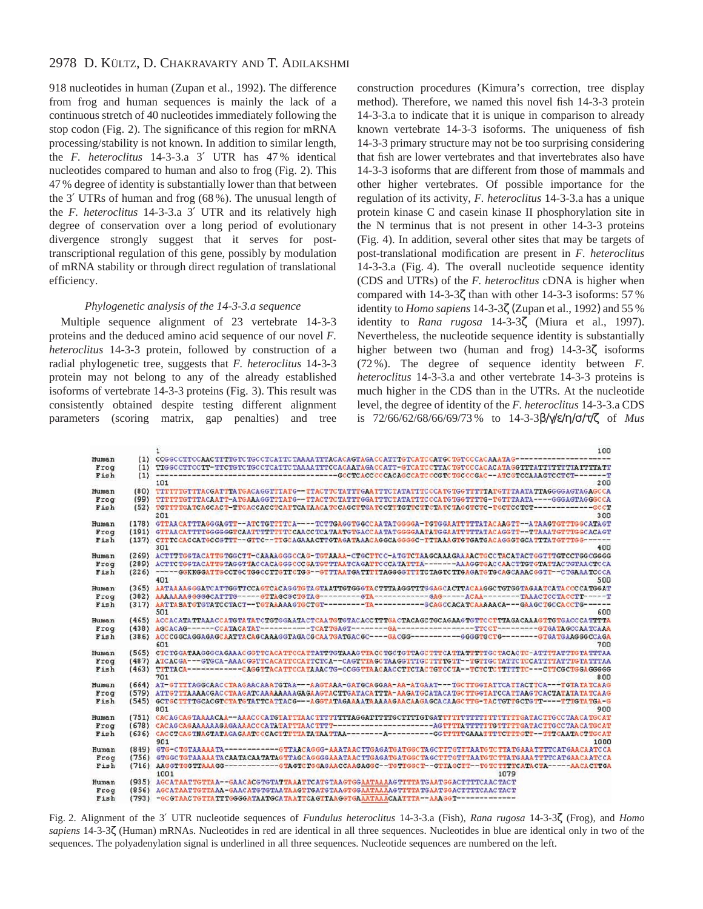# 2978 D. KÜLTZ, D. CHAKRAVARTY AND T. ADILAKSHMI

918 nucleotides in human (Zupan et al., 1992). The difference from frog and human sequences is mainly the lack of a continuous stretch of 40 nucleotides immediately following the stop codon (Fig. 2). The significance of this region for mRNA processing/stability is not known. In addition to similar length, the *F. heteroclitus* 14-3-3.a 3′ UTR has 47 % identical nucleotides compared to human and also to frog (Fig. 2). This 47 % degree of identity is substantially lower than that between the 3′ UTRs of human and frog (68 %). The unusual length of the *F. heteroclitus* 14-3-3.a 3′ UTR and its relatively high degree of conservation over a long period of evolutionary divergence strongly suggest that it serves for posttranscriptional regulation of this gene, possibly by modulation of mRNA stability or through direct regulation of translational efficiency.

# *Phylogenetic analysis of the 14-3-3.a sequence*

Multiple sequence alignment of 23 vertebrate 14-3-3 proteins and the deduced amino acid sequence of our novel *F. heteroclitus* 14-3-3 protein, followed by construction of a radial phylogenetic tree, suggests that *F. heteroclitus* 14-3-3 protein may not belong to any of the already established isoforms of vertebrate 14-3-3 proteins (Fig. 3). This result was consistently obtained despite testing different alignment parameters (scoring matrix, gap penalties) and tree

construction procedures (Kimura's correction, tree display method). Therefore, we named this novel fish 14-3-3 protein 14-3-3.a to indicate that it is unique in comparison to already known vertebrate 14-3-3 isoforms. The uniqueness of fish 14-3-3 primary structure may not be too surprising considering that fish are lower vertebrates and that invertebrates also have 14-3-3 isoforms that are different from those of mammals and other higher vertebrates. Of possible importance for the regulation of its activity, *F. heteroclitus* 14-3-3.a has a unique protein kinase C and casein kinase II phosphorylation site in the N terminus that is not present in other 14-3-3 proteins (Fig. 4). In addition, several other sites that may be targets of post-translational modification are present in *F. heteroclitus* 14-3-3.a (Fig. 4). The overall nucleotide sequence identity (CDS and UTRs) of the *F. heteroclitus* cDNA is higher when compared with 14-3-3ζ than with other 14-3-3 isoforms: 57 % identity to *Homo sapiens* 14-3-3ζ (Zupan et al., 1992) and 55 % identity to *Rana rugosa* 14-3-3ζ (Miura et al., 1997). Nevertheless, the nucleotide sequence identity is substantially higher between two (human and frog) 14-3-3ζ isoforms (72 %). The degree of sequence identity between *F. heteroclitus* 14-3-3.a and other vertebrate 14-3-3 proteins is much higher in the CDS than in the UTRs. At the nucleotide level, the degree of identity of the *F. heteroclitus* 14-3-3.a CDS is 72/66/62/68/66/69/73 % to 14-3-3β/γ/ε/η/σ/τ/ζ of *Mus*

|               |       | 100                                                                                                                              |  |  |  |
|---------------|-------|----------------------------------------------------------------------------------------------------------------------------------|--|--|--|
| Human         | (1)   | CCGGCCTTCCAACTTTTGTCTGCCTCATTCTAAAATTTACACAGTAGACCATTTGTCATGCTGTCCCACAAATA                                                       |  |  |  |
| Froq          | (1)   | TTGGC CTTCC TT-TTCTGTC TGC CTCATTC TAA AA TTTCC ACAATAGA CCATT-GTCATC CTTAC TGTCC CACATA GG TTTAT TTTTTTTAT                      |  |  |  |
| Fish          | (1)   | -GCCTCACCCCCACAGCCATCCCGTCTGCCCGAC--ATCGTCCAAAGTCCTCT-                                                                           |  |  |  |
|               |       | 101<br>200                                                                                                                       |  |  |  |
| Human         | (80)  | TTTTTTGTTTACGATTTATGACAGGTTTATG--TTACTTCTATTTGAATTTCTATATTTCCCATGTGGTTTTATGTTTAATATATTAGGGGAGTAGAGCCA                            |  |  |  |
| Frog          | (99)  | TTTGTTTACAATT-ATGAAAGGTTTATG--TTACTTCTATTTGGATTTCTATATTTCCCATGTGGTTTTG-TGTTTAATA----GGGAGTAGG                                    |  |  |  |
| Fish          | (52)  | TGTTTTGATCAGCACT-TTGACCACCTCATTCATAACATCCAGCTTGATCCTTTGTTC<br>ттетатстасстстс-тестсстст<br>3C C I                                |  |  |  |
|               |       | 201<br>300                                                                                                                       |  |  |  |
| Human         |       | (178) GTTAACATTTAGGGAGTT--ATCTGTTTTCA----TCTTGAGGTGGCCAATATGGGGA-TGTGGAATTTTTATACAAGTT--ATAAGTGTTTGGCATAGT                       |  |  |  |
| Froq          | (191) | GTTAACATTTTGGGGGGTCAATTTTTTTTCCAACCTCATAATGTGACCAATATGGGGAATATGGAATTTTTATACAGGTT++TTAAATGTTTGGCACAGT                             |  |  |  |
| Fish<br>(137) |       | ${\tt CTTTCCACCATGCCGTTT--GTTC--TTGCAGAAACTTGTAGATAAACAGGGAGGGCC-TTTTAAAGTGTGACAGGGGGCGCATTTATGTTTGG+$                           |  |  |  |
|               |       | 301<br>400                                                                                                                       |  |  |  |
| Human         |       | (269) ACTTTTGGTACATTGTGGCTT-CAAAAGGGCCAG-TGTAAAA-CTGCTTCC-ATGTCTAAGCAAAAAAACTGCCTACATACTGGTTTGTCCTGGCGGGG                        |  |  |  |
| Froq          | (289) | тта--------азасстваесваеттствтаттастства<br>TGTAGGTTACCACAGGGCCCGATGTTTAATCAGATTCCCATAT                                          |  |  |  |
| Fish          | (226) | -----GGKKGGATTGCCTGCTGCCTTGTTCTGG--GTTTAATGATTTTAGGGGTTTTCTAGTCTTGAGATGTGCAGCAAACGGTT--CTGAAATCCCA                               |  |  |  |
|               |       | 401<br>500                                                                                                                       |  |  |  |
| Human         | (365) | AATAAAAGGGATCATTGGTTCCAGTCACAGGTGTAGTAATTGTGGGTACTTTAAGGTTTGGAGCACTTACAAGGCTGTGGTAGAATCATACCCCATGGAT                             |  |  |  |
| Froq          | (382) |                                                                                                                                  |  |  |  |
| Fish          |       | (317) AATTASATGTGTATCCTACT--TGTAAAAGTGCTGT--------TA--------GCAGCCACATCAAAAACA---GAAGCTGCCACCTG<br>501<br>600                    |  |  |  |
| Human         |       | (465) ACCACATATTAAACCATGTATATCTGGGAATACTCAATGTGTACACCTTTGACTACAGCTGCAGAAGTGT<br><b>TTAGACAAAG TTGTGACCCA TTTTA</b>               |  |  |  |
| Frog          | (438) | AGCACAG------CCATACATAT----------TCATTGAGT------GA------<br>TTCCT---------GTGATAGCCAATCAAA                                       |  |  |  |
| Fish          |       | 601<br>700                                                                                                                       |  |  |  |
| Human         | (565) | CTCTGGATAAGGGCAGAAACGGTTCACATTCCATTATTTGTAAAGTTACCTGCTGTTAGCTTTCATTATTTTGCTACACTC-ATTTATTTGTATTTGTA                              |  |  |  |
| Froq          | (487) | TTTAA<br>ATCACGA --- GTGCA -AAACGGTTCACA TTCCA TTCTCA -- CA GTTTAGC TAAGG TTTGC TTTTG TT -- TGTTGC TATTC TCCAT TTTATTGTA         |  |  |  |
| Fish          | (463) | TTTTACA-----------CAGGTTACATTCCATAAACTG-CCGGTTAACAACCTTCTACTGTCCTA--TCTCTCTTTTTC---CTTCGCTGGAGGGGG                               |  |  |  |
|               |       | 701<br>800                                                                                                                       |  |  |  |
| Human         | (664) | AT-GTTTTAGGCAACCTAAGAACAAATGTAA---AAGTAAA-GATGCAGGAA-AA-ATGAAT---TGCTTGGTATTCATTACTTCA---TGTATATCAAG                             |  |  |  |
| Froq          | (579) |                                                                                                                                  |  |  |  |
| Fish          | (545) |                                                                                                                                  |  |  |  |
|               |       | 801<br>900                                                                                                                       |  |  |  |
| Human         |       | (751) CACAGCAGTAAAACAA - AAACCCATGTAT<br><b>TTGCCTAACATGCAT</b><br>TTA AC TTT TTTTTAGGAT TTTTG CTTTTGTGAT                        |  |  |  |
| Frog          | (678) | CACAGCAGAAAAAAGAGAAAACCCATATATTTAAC<br>-AGTTTTATTTTTTGTTTTGATACTTGCCTAACATGCAT                                                   |  |  |  |
| Fish          | (636) |                                                                                                                                  |  |  |  |
|               |       | 901<br>1000                                                                                                                      |  |  |  |
| Human         | (849) | GTG-CTGTAAAAATA<br>TTCATGAACAATCCA<br>--GTTAACAGGG-AAATAACTTGAGATGATGGCTAGCTTTGTT<br><b>TTATGAAATT</b>                           |  |  |  |
| Frog          | (756) | <u>GTGGC TGTAAAAA TA CAA TA CAA TA TAGTTAGC AGGGGAAATAAC TTGAGATGAT GGC TA GCT TTGTTTA ATG TC TTA TGAAA TTTTC ATGAA CAATC CA</u> |  |  |  |
| Fish          |       | (716) AAGGTTGGTTAAAGG<br>---------GTAGTCTGGAGAACCAAGAGGC--TGTTGGCT--GTTAGCTT--TGTCTTTTCATACTA-----AACACTTGA<br>1001<br>1079      |  |  |  |
| Human         | (935) | AGCATAATTGTTAA -- GAACACGTGTATTAAATTCATGTAAGTGGAATAAAAGTTTTATGAATGGACTTTTCAACTACT                                                |  |  |  |
| Froq          | (856) | AGCATAATTGTTAAA-GAACATGTGTAATAAGTTGATGTAAGTGGAATAAAAGTTTTATGAATGGACTTTTCAAC                                                      |  |  |  |
| Fish          |       | (793) -GCGTAACTGTTATTTGGGGATAATGCATAATTCAGTTAAGGTGAAATAAACAATTTA--AAAGGT--                                                       |  |  |  |
|               |       |                                                                                                                                  |  |  |  |

Fig. 2. Alignment of the 3′ UTR nucleotide sequences of *Fundulus heteroclitus* 14-3-3.a (Fish), *Rana rugosa* 14-3-3ζ (Frog), and *Homo sapiens* 14-3-3ζ (Human) mRNAs. Nucleotides in red are identical in all three sequences. Nucleotides in blue are identical only in two of the sequences. The polyadenylation signal is underlined in all three sequences. Nucleotide sequences are numbered on the left.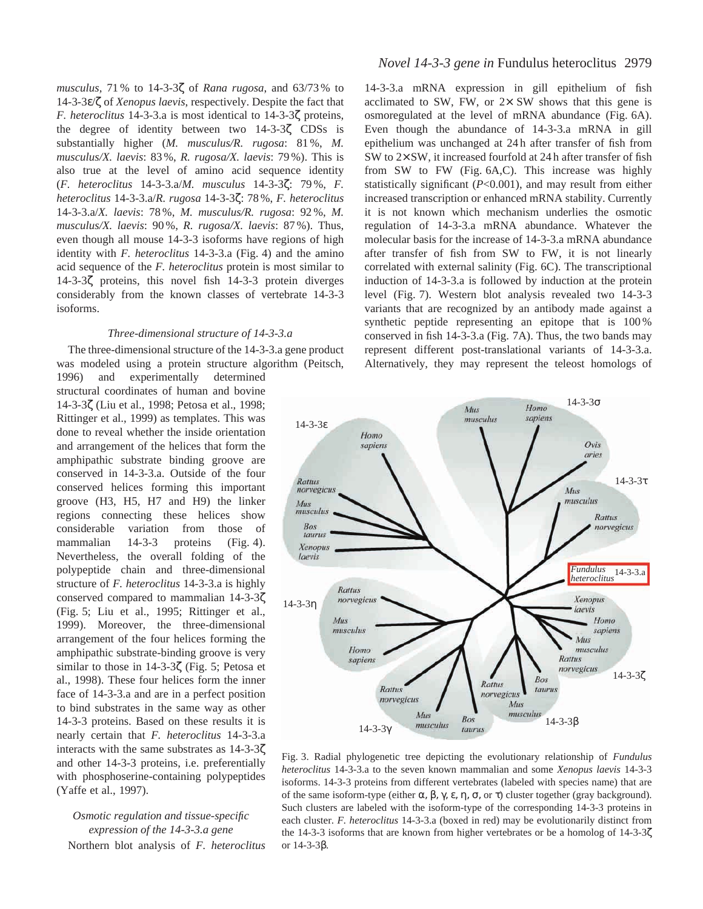*musculus,* 71 % to 14-3-3ζ of *Rana rugosa*, and 63/73 % to 14-3-3ε/ζ of *Xenopus laevis*, respectively. Despite the fact that *F. heteroclitus* 14-3-3.a is most identical to 14-3-3ζ proteins, the degree of identity between two 14-3-3ζ CDSs is substantially higher (*M. musculus/R. rugosa*: 81 %, *M. musculus/X. laevis*: 83 %, *R. rugosa/X. laevis*: 79 %). This is also true at the level of amino acid sequence identity (*F. heteroclitus* 14-3-3.a/*M. musculus* 14-3-3ζ: 79 %, *F. heteroclitus* 14-3-3.a/*R. rugosa* 14-3-3ζ: 78 %, *F. heteroclitus* 14-3-3.a/*X. laevis*: 78 %, *M. musculus/R. rugosa*: 92 %, *M. musculus/X. laevis*: 90 %, *R. rugosa/X. laevis*: 87 %). Thus, even though all mouse 14-3-3 isoforms have regions of high identity with *F. heteroclitus* 14-3-3.a (Fig. 4) and the amino acid sequence of the *F. heteroclitus* protein is most similar to 14-3-3ζ proteins, this novel fish 14-3-3 protein diverges considerably from the known classes of vertebrate 14-3-3 isoforms.

#### *Three-dimensional structure of 14-3-3.a*

The three-dimensional structure of the 14-3-3.a gene product was modeled using a protein structure algorithm (Peitsch,

1996) and experimentally determined structural coordinates of human and bovine 14-3-3ζ (Liu et al., 1998; Petosa et al., 1998; Rittinger et al., 1999) as templates. This was done to reveal whether the inside orientation and arrangement of the helices that form the amphipathic substrate binding groove are conserved in 14-3-3.a. Outside of the four conserved helices forming this important groove (H3, H5, H7 and H9) the linker regions connecting these helices show considerable variation from those of mammalian 14-3-3 proteins (Fig. 4). Nevertheless, the overall folding of the polypeptide chain and three-dimensional structure of *F. heteroclitus* 14-3-3.a is highly conserved compared to mammalian 14-3-3ζ (Fig. 5; Liu et al., 1995; Rittinger et al., 1999). Moreover, the three-dimensional arrangement of the four helices forming the amphipathic substrate-binding groove is very similar to those in  $14-3-3\zeta$  (Fig. 5; Petosa et al., 1998). These four helices form the inner face of 14-3-3.a and are in a perfect position to bind substrates in the same way as other 14-3-3 proteins. Based on these results it is nearly certain that *F. heteroclitus* 14-3-3.a interacts with the same substrates as 14-3-3ζ and other 14-3-3 proteins, i.e. preferentially with phosphoserine-containing polypeptides (Yaffe et al., 1997).

# *Osmotic regulation and tissue-specific expression of the 14-3-3.a gene*

Northern blot analysis of *F. heteroclitus*

# *Novel 14-3-3 gene in* Fundulus heteroclitus 2979

14-3-3.a mRNA expression in gill epithelium of fish acclimated to SW, FW, or  $2 \times$  SW shows that this gene is osmoregulated at the level of mRNA abundance (Fig. 6A). Even though the abundance of 14-3-3.a mRNA in gill epithelium was unchanged at 24 h after transfer of fish from SW to 2× SW, it increased fourfold at 24 h after transfer of fish from SW to FW (Fig. 6A,C). This increase was highly statistically significant (*P*<0.001), and may result from either increased transcription or enhanced mRNA stability. Currently it is not known which mechanism underlies the osmotic regulation of 14-3-3.a mRNA abundance. Whatever the molecular basis for the increase of 14-3-3.a mRNA abundance after transfer of fish from SW to FW, it is not linearly correlated with external salinity (Fig. 6C). The transcriptional induction of 14-3-3.a is followed by induction at the protein level (Fig. 7). Western blot analysis revealed two 14-3-3 variants that are recognized by an antibody made against a synthetic peptide representing an epitope that is 100 % conserved in fish 14-3-3.a (Fig. 7A). Thus, the two bands may represent different post-translational variants of 14-3-3.a. Alternatively, they may represent the teleost homologs of



Fig. 3. Radial phylogenetic tree depicting the evolutionary relationship of *Fundulus heteroclitus* 14-3-3.a to the seven known mammalian and some *Xenopus laevis* 14-3-3 isoforms. 14-3-3 proteins from different vertebrates (labeled with species name) that are of the same isoform-type (either α, β, γ, ε, η, σ, or τ) cluster together (gray background). Such clusters are labeled with the isoform-type of the corresponding 14-3-3 proteins in each cluster. *F. heteroclitus* 14-3-3.a (boxed in red) may be evolutionarily distinct from the 14-3-3 isoforms that are known from higher vertebrates or be a homolog of 14-3-3ζ or 14-3-3β.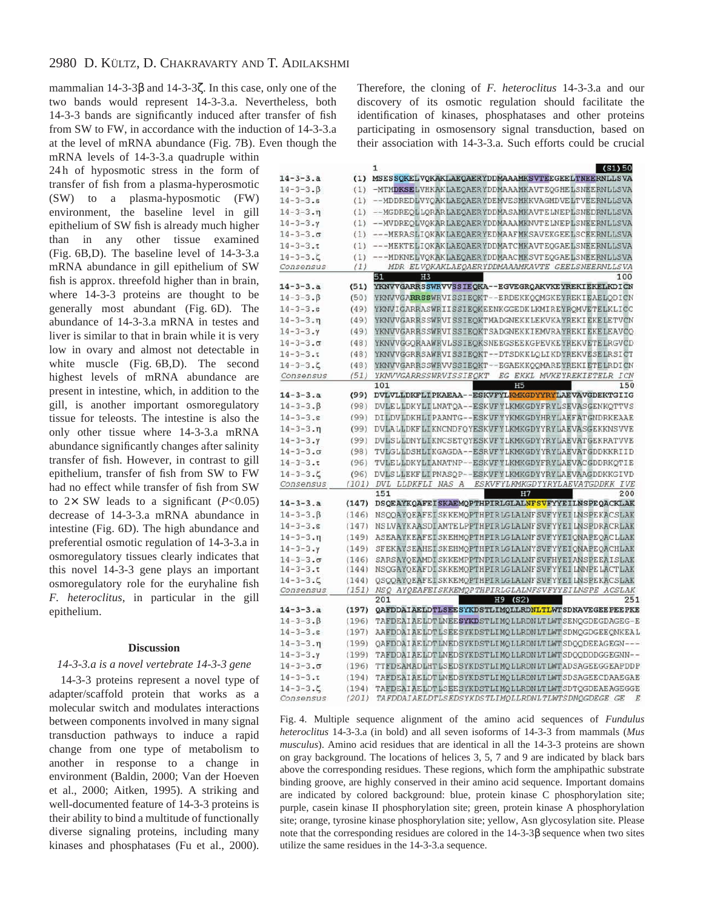mammalian 14-3-3β and 14-3-3ζ. In this case, only one of the two bands would represent 14-3-3.a. Nevertheless, both 14-3-3 bands are significantly induced after transfer of fish from SW to FW, in accordance with the induction of 14-3-3.a at the level of mRNA abundance (Fig. 7B). Even though the

mRNA levels of 14-3-3.a quadruple within 24 h of hyposmotic stress in the form of transfer of fish from a plasma-hyperosmotic (SW) to a plasma-hyposmotic (FW) environment, the baseline level in gill epithelium of SW fish is already much higher than in any other tissue examined (Fig. 6B,D). The baseline level of 14-3-3.a mRNA abundance in gill epithelium of SW fish is approx. threefold higher than in brain, where 14-3-3 proteins are thought to be generally most abundant (Fig. 6D). The abundance of 14-3-3.a mRNA in testes and liver is similar to that in brain while it is very low in ovary and almost not detectable in white muscle (Fig. 6B,D). The second highest levels of mRNA abundance are present in intestine, which, in addition to the gill, is another important osmoregulatory tissue for teleosts. The intestine is also the only other tissue where 14-3-3.a mRNA abundance significantly changes after salinity transfer of fish. However, in contrast to gill epithelium, transfer of fish from SW to FW had no effect while transfer of fish from SW to  $2 \times$  SW leads to a significant ( $P < 0.05$ ) decrease of 14-3-3.a mRNA abundance in intestine (Fig. 6D). The high abundance and preferential osmotic regulation of 14-3-3.a in osmoregulatory tissues clearly indicates that this novel 14-3-3 gene plays an important osmoregulatory role for the euryhaline fish *F. heteroclitus*, in particular in the gill epithelium.

# **Discussion**

# *14-3-3.a is a novel vertebrate 14-3-3 gene*

14-3-3 proteins represent a novel type of adapter/scaffold protein that works as a molecular switch and modulates interactions between components involved in many signal transduction pathways to induce a rapid change from one type of metabolism to another in response to a change in environment (Baldin, 2000; Van der Hoeven et al., 2000; Aitken, 1995). A striking and well-documented feature of 14-3-3 proteins is their ability to bind a multitude of functionally diverse signaling proteins, including many kinases and phosphatases (Fu et al., 2000).

Therefore, the cloning of *F. heteroclitus* 14-3-3.a and our discovery of its osmotic regulation should facilitate the identification of kinases, phosphatases and other proteins participating in osmosensory signal transduction, based on their association with 14-3-3.a. Such efforts could be crucial

|                           |       | 1<br>(S1) 50                                                             |
|---------------------------|-------|--------------------------------------------------------------------------|
| $14 - 3 - 3. a$           |       | (1) MSESSOKELVOKAKLAEOAERYDDMAAAMKSVTEEGEELTNEERNLLSVA                   |
| $14 - 3 - 3.8$            | (1)   | -MTMDKSELVHKAKLAEOAERYDDMAAAMKAVTEOGHELSNEERNLLSVA                       |
| $14 - 3 - 3.8$            |       | (1) --MDDREDLVYOAKLAEOAERYDEMVESMKKVAGMDVELTVEERNLLSVA                   |
| $14 - 3 - 3 \cdot \eta$   | (1)   | --MGDREOLLORAR LAEOAER YDDMA SAMKAVTE LNEPLSNEDRN LLSVA                  |
| $14 - 3 - 3.7$            | (1)   | --MVDREOLVOKARLAEOAERYDDMAAAMKNVTELNEPLSNEERNLLSVA                       |
| $14 - 3 - 3 \cdot \sigma$ | (1)   | ---MERASLIOKAKLAEOAER YEDMAAFMKSAVEKGEELSCEERNLLSVA                      |
| $14 - 3 - 3 \cdot t$      | (1)   | ---MEKTELIQKAKLAEQAERYDDMATCMKAVTEQGAELSNEERNLLSVA                       |
| $14 - 3 - 3$ . $\zeta$    | (1)   | ---MDKNELVQKAKLAEQAERYDDMAACMKSVTEQGAELSNEERNLLSVA                       |
| Consensus                 | (1)   | MDR ELVOKAKLAEQAERYDDMAAAMKAVTE GEELSNEERNLLSVA                          |
|                           |       | 51<br>100<br>H3                                                          |
| $14 - 3 - 3$ .a           | (51)  | YKNVVGARRSSWRVVSSIEQKA--EGVEGRQAKVKEYREKIEKELKDICN                       |
| $14 - 3 - 3.8$            | (50)  | YKNVVGARRSSWRVISSIEQKT--ERDEKKOOMGKEYREKIEAELODICN                       |
| $14 - 3 - 3.8$            | (49)  | YKNVIGARRASWRIISSIEOKEENKGGEDKLKMIREYROMVETELKLICC                       |
| $14 - 3 - 3 \cdot n$      | (49)  | YKNVVGARRSSWRVISSIEOKTMADGNEKKLEKVKAYREKIEKELETVCN                       |
| $14 - 3 - 3.7$            | (49)  | YKNVVGARRSSWRVISSIEOKTSADGNEKKIEMVRAYREKIEKELEAVCO                       |
| $14 - 3 - 3 \cdot \sigma$ | (48)  | YKNVVGGORAAWRVLSSIEOKSNEEGSEEKGPEVKEYREKVETELRGVCD                       |
| $14 - 3 - 3 \cdot t$      | (48)  | YKNVVGGRRSAWRVISSIEOKT--DTSDKKLOLIKDYREKVESELRSICT                       |
| $14 - 3 - 3$ .            | (48)  | YKNVVGARRSSWRVVSSIEQKT--EGAEKKOOMAREYREKIETELRDICN                       |
| Consensus                 | (51)  | YKNVVGARRSSWRVISSIEQKT EG EKKL MVKEYREKIETELR ICN                        |
|                           |       | 101<br>H <sub>5</sub><br>150                                             |
| $14 - 3 - 3$ .a           | (99)  | DVLVLLDKFLIPKAEAA--ESKVFYLKMKGDYYRYLAEVAVGDEKTGIIG                       |
| $14 - 3 - 3.8$            | (98)  | DVLELLDKYLILNATQA -- ESKVFYLKMKGDYFRYLSEVASGENKQTTVS                     |
| $14 - 3 - 3.8$            | (99)  | DILDVLDKHLIPAANTG--ESKVFYYKMKGDYHRYLAEFATGNDRKEAAE                       |
| $14 - 3 - 3 \cdot \pi$    | (99)  | DVLALLDKFLIKNCNDFQYESKVFYLKMKGDYYRYLAEVASGEKKNSVVE                       |
| $14 - 3 - 3.7$            | (99)  | DVLSLLDNYLIKNCSETOYESKVFYLKMKGDYYRYLAEVATGEKRATVVE                       |
| $14 - 3 - 3 \cdot \sigma$ | (98)  | TVLGLLDSHLIKGAGDA -- ESRVFYLKMKGDYYRYLAEVATGDDKKRIID                     |
| $14 - 3 - 3 \cdot t$      | (96)  | TVLELLDKYLIANATNP--ESKVFYLKMKGDYFRYLAEVACGDDRKOTIE                       |
| $14 - 3 - 3$ .            | (96)  | DVLSLLEKFLIPNASOP--ESKVFYLKMKGDYYRYLAEVAAGDDKKGIVD                       |
| Consensus                 | (101) | DVL LLDKFLI NAS A<br>ESKVFYLKMKGDYYRYLAEVATGDDKK IVE<br>200<br>151<br>Η7 |
| $14 - 3 - 3. a$           |       | (147) DSQEAYKQAFEISKAEMQPTHPIRLGLALNFSVFYYEILNSPEQACKLAK                 |
| $14 - 3 - 3.8$            | (146) | NSOOAYOEAFEISKKEMOPTHPIRLGLALNFSVFYYEILNSPEKACSLAK                       |
| $14 - 3 - 3.8$            | (147) | NSLVAYKAASDIAMTE LPPTHPIRLGLALNF SVFYYEI LNSPDRACRLAK                    |
| $14 - 3 - 3 \cdot \eta$   | (149) | ASEAAYKEAFEISKEHMOPTHPIRLGLALNFSVFYYEIONAPEOACLLAK                       |
| $14 - 3 - 3.7$            | (149) | SFEKAYSEAHEISKEHMOPTHPIRLGLALNYSVFYYEIONAPEOACHLAK                       |
| $14 - 3 - 3.0$            | (146) | SARSAYOEAMDI SKKEMPPTNPIRLGLALNF SVFHYEIANSPEEAISLAK                     |
| $14 - 3 - 3 \cdot t$      | (144) | NSQGAYQEAFDISKKEMQPTHPIRLGLALNFSVFYYEILNNPELACTLAK                       |
| $14 - 3 - 3$ .            | (144) | QSQQAYQEAFEISKKEMQPTHPIRLGLALNFSVFYYEILNSPEKACSLAK                       |
| Consensus                 |       | (151) NSQ AYQEAFEISKKEMQPTHPIRLGLALNFSVFYYEILNSPE ACSLAK                 |
|                           |       | 201<br>$H9$ (S2)<br>251                                                  |
| $14 - 3 - 3. a$           | (197) | QAFDDAIAELDTLSEESYKDSTLIMQLLRDNLTLWTSDNAVEGEEPEEPKE                      |
| $14 - 3 - 3$ . $\beta$    | (196) | TAFDEAIAE LDT LNEESYKDST LIMOLLRDN LT LWTSENOGDEGDAGEG-E                 |
| $14 - 3 - 3.5$            | (197) | AAFDDAIAELDTLSEESYKDSTLIMQLLRDNLTLWTSDMQGDGEEQNKEAL                      |
| $14 - 3 - 3 \cdot n$      | (199) | OAFDDAIAELDTLNEDSYKDSTLIMOLLRDNLTLWTSDOODEEAGEGN---                      |
| $14 - 3 - 3.7$            | (199) | TAFDDAIAELDTLNEDSYKDSTLIMOLLRDNLTLWTSDOODDDGGEGNN--                      |
| $14 - 3 - 3 \cdot \sigma$ | (196) | TTFDEAMADLHTLSEDSYKDSTLIMOLLRDNLTLWTADSAGEEGGEAPDDP                      |
| $14 - 3 - 3 \cdot t$      | (194) | TAFDEAIAE LDT LNEDSYKDSTLIMOLLRDNLT LWT SDSAGEECDAAEGAE                  |
| $14 - 3 - 3$ .            | (194) | TAFDEAIAELDTLSEESYKDSTLIMOLLRDNLTLWTSDTQGDEAEAGEGGE                      |
| Constante                 | (201) | TA FODATA FLOTLO FOOVEDCTLIMOLL DOMITION COMPONDER CF                    |

Fig. 4. Multiple sequence alignment of the amino acid sequences of *Fundulus heteroclitus* 14-3-3.a (in bold) and all seven isoforms of 14-3-3 from mammals (*Mus musculus*). Amino acid residues that are identical in all the 14-3-3 proteins are shown on gray background. The locations of helices 3, 5, 7 and 9 are indicated by black bars above the corresponding residues. These regions, which form the amphipathic substrate binding groove, are highly conserved in their amino acid sequence. Important domains are indicated by colored background: blue, protein kinase C phosphorylation site; purple, casein kinase II phosphorylation site; green, protein kinase A phosphorylation site; orange, tyrosine kinase phosphorylation site; yellow, Asn glycosylation site. Please note that the corresponding residues are colored in the 14-3-3β sequence when two sites utilize the same residues in the 14-3-3.a sequence.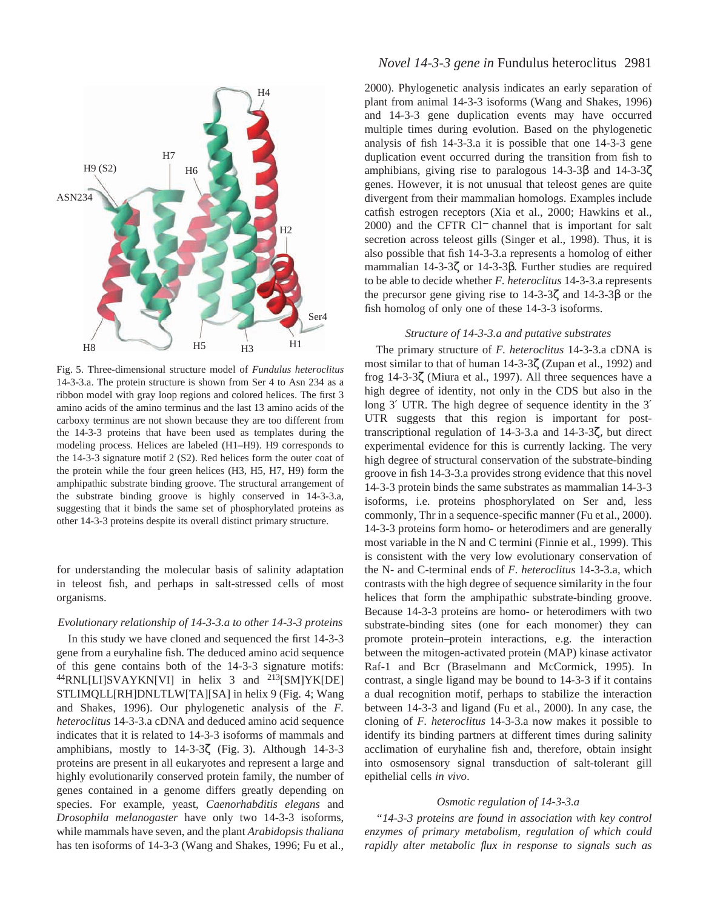

Fig. 5. Three-dimensional structure model of *Fundulus heteroclitus* 14-3-3.a. The protein structure is shown from Ser 4 to Asn 234 as a ribbon model with gray loop regions and colored helices. The first 3 amino acids of the amino terminus and the last 13 amino acids of the carboxy terminus are not shown because they are too different from the 14-3-3 proteins that have been used as templates during the modeling process. Helices are labeled (H1–H9). H9 corresponds to the 14-3-3 signature motif 2 (S2). Red helices form the outer coat of the protein while the four green helices (H3, H5, H7, H9) form the amphipathic substrate binding groove. The structural arrangement of the substrate binding groove is highly conserved in 14-3-3.a, suggesting that it binds the same set of phosphorylated proteins as other 14-3-3 proteins despite its overall distinct primary structure.

for understanding the molecular basis of salinity adaptation in teleost fish, and perhaps in salt-stressed cells of most organisms.

# *Evolutionary relationship of 14-3-3.a to other 14-3-3 proteins*

In this study we have cloned and sequenced the first 14-3-3 gene from a euryhaline fish. The deduced amino acid sequence of this gene contains both of the 14-3-3 signature motifs:  $^{44}$ RNL[LI]SVAYKN[VI] in helix 3 and  $^{213}$ [SM]YK[DE] STLIMQLL[RH]DNLTLW[TA][SA] in helix 9 (Fig. 4; Wang and Shakes, 1996). Our phylogenetic analysis of the *F. heteroclitus* 14-3-3.a cDNA and deduced amino acid sequence indicates that it is related to 14-3-3 isoforms of mammals and amphibians, mostly to 14-3-3ζ (Fig. 3). Although 14-3-3 proteins are present in all eukaryotes and represent a large and highly evolutionarily conserved protein family, the number of genes contained in a genome differs greatly depending on species. For example, yeast, *Caenorhabditis elegans* and *Drosophila melanogaster* have only two 14-3-3 isoforms, while mammals have seven, and the plant *Arabidopsis thaliana* has ten isoforms of 14-3-3 (Wang and Shakes, 1996; Fu et al.,

# *Novel 14-3-3 gene in* Fundulus heteroclitus 2981

2000). Phylogenetic analysis indicates an early separation of plant from animal 14-3-3 isoforms (Wang and Shakes, 1996) and 14-3-3 gene duplication events may have occurred multiple times during evolution. Based on the phylogenetic analysis of fish 14-3-3.a it is possible that one 14-3-3 gene duplication event occurred during the transition from fish to amphibians, giving rise to paralogous 14-3-3β and 14-3-3ζ genes. However, it is not unusual that teleost genes are quite divergent from their mammalian homologs. Examples include catfish estrogen receptors (Xia et al., 2000; Hawkins et al., 2000) and the CFTR Cl<sup>−</sup> channel that is important for salt secretion across teleost gills (Singer et al., 1998). Thus, it is also possible that fish 14-3-3.a represents a homolog of either mammalian 14-3-3ζ or 14-3-3β. Further studies are required to be able to decide whether *F. heteroclitus* 14-3-3.a represents the precursor gene giving rise to 14-3-3ζ and 14-3-3β or the fish homolog of only one of these 14-3-3 isoforms.

# *Structure of 14-3-3.a and putative substrates*

The primary structure of *F. heteroclitus* 14-3-3.a cDNA is most similar to that of human 14-3-3ζ (Zupan et al., 1992) and frog 14-3-3ζ (Miura et al., 1997). All three sequences have a high degree of identity, not only in the CDS but also in the long 3′ UTR. The high degree of sequence identity in the 3′ UTR suggests that this region is important for posttranscriptional regulation of 14-3-3.a and 14-3-3ζ, but direct experimental evidence for this is currently lacking. The very high degree of structural conservation of the substrate-binding groove in fish 14-3-3.a provides strong evidence that this novel 14-3-3 protein binds the same substrates as mammalian 14-3-3 isoforms, i.e. proteins phosphorylated on Ser and, less commonly, Thr in a sequence-specific manner (Fu et al., 2000). 14-3-3 proteins form homo- or heterodimers and are generally most variable in the N and C termini (Finnie et al., 1999). This is consistent with the very low evolutionary conservation of the N- and C-terminal ends of *F. heteroclitus* 14-3-3.a, which contrasts with the high degree of sequence similarity in the four helices that form the amphipathic substrate-binding groove. Because 14-3-3 proteins are homo- or heterodimers with two substrate-binding sites (one for each monomer) they can promote protein–protein interactions, e.g. the interaction between the mitogen-activated protein (MAP) kinase activator Raf-1 and Bcr (Braselmann and McCormick, 1995). In contrast, a single ligand may be bound to 14-3-3 if it contains a dual recognition motif, perhaps to stabilize the interaction between 14-3-3 and ligand (Fu et al., 2000). In any case, the cloning of *F. heteroclitus* 14-3-3.a now makes it possible to identify its binding partners at different times during salinity acclimation of euryhaline fish and, therefore, obtain insight into osmosensory signal transduction of salt-tolerant gill epithelial cells *in vivo*.

#### *Osmotic regulation of 14-3-3.a*

*"14-3-3 proteins are found in association with key control enzymes of primary metabolism, regulation of which could rapidly alter metabolic flux in response to signals such as*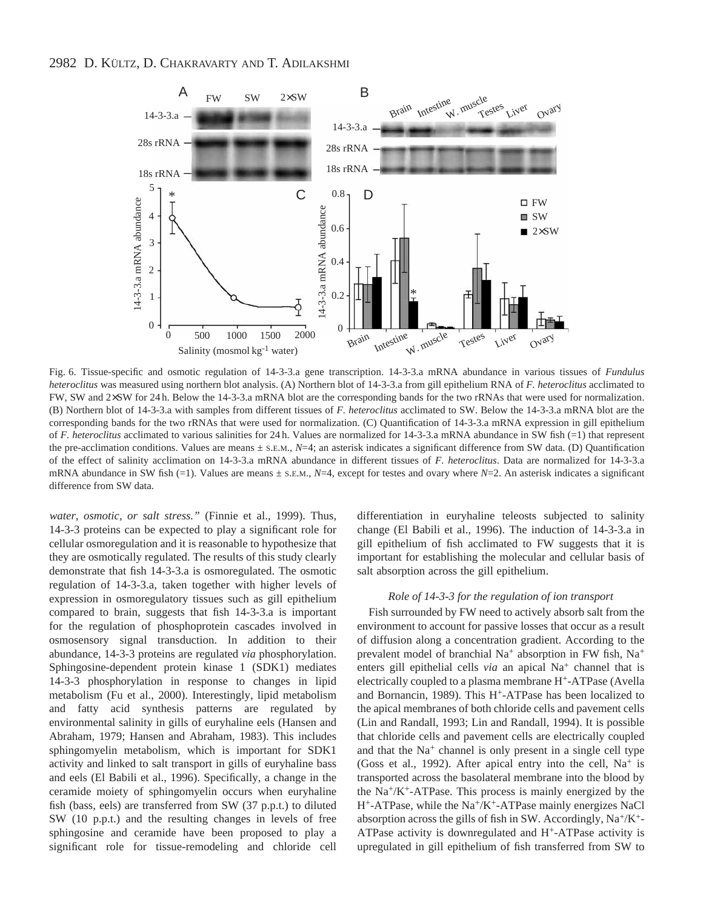

Fig. 6. Tissue-specific and osmotic regulation of 14-3-3.a gene transcription. 14-3-3.a mRNA abundance in various tissues of *Fundulus heteroclitus* was measured using northern blot analysis. (A) Northern blot of 14-3-3.a from gill epithelium RNA of *F. heteroclitus* acclimated to FW, SW and 2×SW for 24 h. Below the 14-3-3.a mRNA blot are the corresponding bands for the two rRNAs that were used for normalization. (B) Northern blot of 14-3-3.a with samples from different tissues of *F. heteroclitus* acclimated to SW. Below the 14-3-3.a mRNA blot are the corresponding bands for the two rRNAs that were used for normalization. (C) Quantification of 14-3-3.a mRNA expression in gill epithelium of *F. heteroclitus* acclimated to various salinities for 24 h. Values are normalized for 14-3-3.a mRNA abundance in SW fish (=1) that represent the pre-acclimation conditions. Values are means  $\pm$  s.e.m.,  $N=4$ ; an asterisk indicates a significant difference from SW data. (D) Quantification of the effect of salinity acclimation on 14-3-3.a mRNA abundance in different tissues of *F. heteroclitus*. Data are normalized for 14-3-3.a mRNA abundance in SW fish (=1). Values are means ± S.E.M., *N*=4, except for testes and ovary where *N*=2. An asterisk indicates a significant difference from SW data.

*water, osmotic, or salt stress."* (Finnie et al., 1999). Thus, 14-3-3 proteins can be expected to play a significant role for cellular osmoregulation and it is reasonable to hypothesize that they are osmotically regulated. The results of this study clearly demonstrate that fish 14-3-3.a is osmoregulated. The osmotic regulation of 14-3-3.a, taken together with higher levels of expression in osmoregulatory tissues such as gill epithelium compared to brain, suggests that fish 14-3-3.a is important for the regulation of phosphoprotein cascades involved in osmosensory signal transduction. In addition to their abundance, 14-3-3 proteins are regulated *via* phosphorylation. Sphingosine-dependent protein kinase 1 (SDK1) mediates 14-3-3 phosphorylation in response to changes in lipid metabolism (Fu et al., 2000). Interestingly, lipid metabolism and fatty acid synthesis patterns are regulated by environmental salinity in gills of euryhaline eels (Hansen and Abraham, 1979; Hansen and Abraham, 1983). This includes sphingomyelin metabolism, which is important for SDK1 activity and linked to salt transport in gills of euryhaline bass and eels (El Babili et al., 1996). Specifically, a change in the ceramide moiety of sphingomyelin occurs when euryhaline fish (bass, eels) are transferred from SW (37 p.p.t.) to diluted SW (10 p.p.t.) and the resulting changes in levels of free sphingosine and ceramide have been proposed to play a significant role for tissue-remodeling and chloride cell differentiation in euryhaline teleosts subjected to salinity change (El Babili et al., 1996). The induction of 14-3-3.a in gill epithelium of fish acclimated to FW suggests that it is important for establishing the molecular and cellular basis of salt absorption across the gill epithelium.

#### *Role of 14-3-3 for the regulation of ion transport*

Fish surrounded by FW need to actively absorb salt from the environment to account for passive losses that occur as a result of diffusion along a concentration gradient. According to the prevalent model of branchial Na<sup>+</sup> absorption in FW fish, Na<sup>+</sup> enters gill epithelial cells *via* an apical Na<sup>+</sup> channel that is electrically coupled to a plasma membrane H+-ATPase (Avella and Bornancin, 1989). This H+-ATPase has been localized to the apical membranes of both chloride cells and pavement cells (Lin and Randall, 1993; Lin and Randall, 1994). It is possible that chloride cells and pavement cells are electrically coupled and that the Na<sup>+</sup> channel is only present in a single cell type (Goss et al., 1992). After apical entry into the cell,  $Na<sup>+</sup>$  is transported across the basolateral membrane into the blood by the  $Na^{+}/K^{+}$ -ATPase. This process is mainly energized by the  $H^+$ -ATPase, while the Na<sup>+</sup>/K<sup>+</sup>-ATPase mainly energizes NaCl absorption across the gills of fish in SW. Accordingly,  $Na^+/K^+$ -ATPase activity is downregulated and H+-ATPase activity is upregulated in gill epithelium of fish transferred from SW to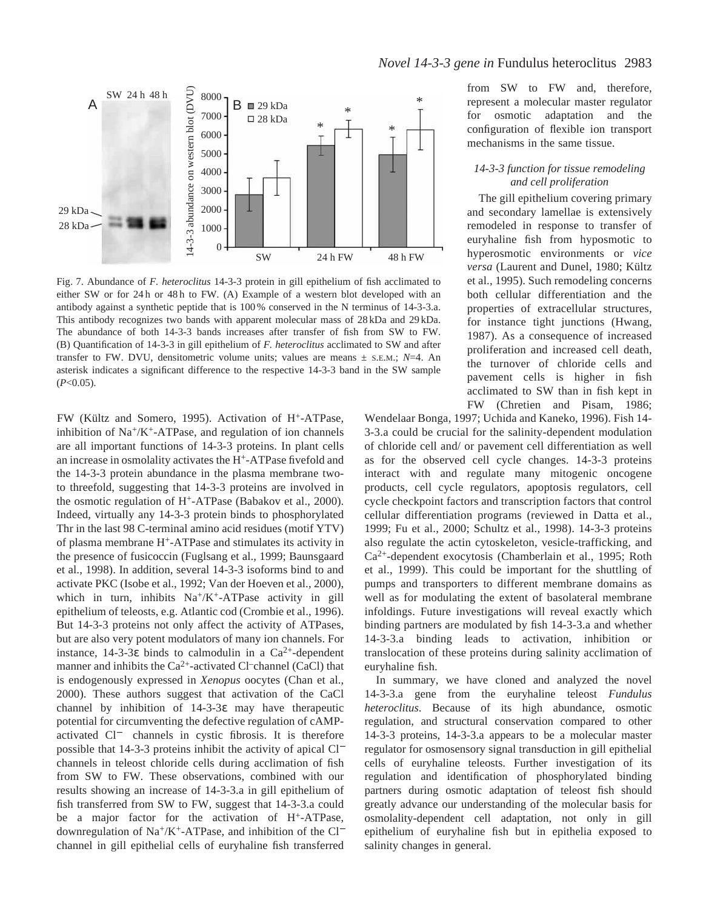

Fig. 7. Abundance of *F. heteroclitus* 14-3-3 protein in gill epithelium of fish acclimated to either SW or for 24 h or 48 h to FW. (A) Example of a western blot developed with an antibody against a synthetic peptide that is 100 % conserved in the N terminus of 14-3-3.a. This antibody recognizes two bands with apparent molecular mass of 28 kDa and 29 kDa. The abundance of both 14-3-3 bands increases after transfer of fish from SW to FW. (B) Quantification of 14-3-3 in gill epithelium of *F. heteroclitus* acclimated to SW and after transfer to FW. DVU, densitometric volume units; values are means  $\pm$  s.e.m.;  $N=4$ . An asterisk indicates a significant difference to the respective 14-3-3 band in the SW sample (*P*<0.05).

FW (Kültz and Somero, 1995). Activation of H+-ATPase, inhibition of  $Na^+/K^+$ -ATPase, and regulation of ion channels are all important functions of 14-3-3 proteins. In plant cells an increase in osmolality activates the H+-ATPase fivefold and the 14-3-3 protein abundance in the plasma membrane twoto threefold, suggesting that 14-3-3 proteins are involved in the osmotic regulation of H+-ATPase (Babakov et al., 2000). Indeed, virtually any 14-3-3 protein binds to phosphorylated Thr in the last 98 C-terminal amino acid residues (motif YTV) of plasma membrane H+-ATPase and stimulates its activity in the presence of fusicoccin (Fuglsang et al., 1999; Baunsgaard et al., 1998). In addition, several 14-3-3 isoforms bind to and activate PKC (Isobe et al., 1992; Van der Hoeven et al., 2000), which in turn, inhibits  $Na^+/K^+$ -ATPase activity in gill epithelium of teleosts, e.g. Atlantic cod (Crombie et al., 1996). But 14-3-3 proteins not only affect the activity of ATPases, but are also very potent modulators of many ion channels. For instance, 14-3-3ε binds to calmodulin in a  $Ca^{2+}$ -dependent manner and inhibits the  $Ca^{2+}$ -activated Cl<sup>–</sup>channel (CaCl) that is endogenously expressed in *Xenopus* oocytes (Chan et al., 2000). These authors suggest that activation of the CaCl channel by inhibition of 14-3-3ε may have therapeutic potential for circumventing the defective regulation of cAMPactivated Cl− channels in cystic fibrosis. It is therefore possible that 14-3-3 proteins inhibit the activity of apical Cl<sup>−</sup> channels in teleost chloride cells during acclimation of fish from SW to FW. These observations, combined with our results showing an increase of 14-3-3.a in gill epithelium of fish transferred from SW to FW, suggest that 14-3-3.a could be a major factor for the activation of H+-ATPase, downregulation of Na+/K+-ATPase, and inhibition of the Cl<sup>−</sup> channel in gill epithelial cells of euryhaline fish transferred

from SW to FW and, therefore, represent a molecular master regulator for osmotic adaptation and the configuration of flexible ion transport mechanisms in the same tissue.

# *14-3-3 function for tissue remodeling and cell proliferation*

The gill epithelium covering primary and secondary lamellae is extensively remodeled in response to transfer of euryhaline fish from hyposmotic to hyperosmotic environments or *vice versa* (Laurent and Dunel, 1980; Kültz et al., 1995). Such remodeling concerns both cellular differentiation and the properties of extracellular structures, for instance tight junctions (Hwang, 1987). As a consequence of increased proliferation and increased cell death, the turnover of chloride cells and pavement cells is higher in fish acclimated to SW than in fish kept in FW (Chretien and Pisam, 1986;

Wendelaar Bonga, 1997; Uchida and Kaneko, 1996). Fish 14- 3-3.a could be crucial for the salinity-dependent modulation of chloride cell and/ or pavement cell differentiation as well as for the observed cell cycle changes. 14-3-3 proteins interact with and regulate many mitogenic oncogene products, cell cycle regulators, apoptosis regulators, cell cycle checkpoint factors and transcription factors that control cellular differentiation programs (reviewed in Datta et al., 1999; Fu et al., 2000; Schultz et al., 1998). 14-3-3 proteins also regulate the actin cytoskeleton, vesicle-trafficking, and Ca2+-dependent exocytosis (Chamberlain et al., 1995; Roth et al., 1999). This could be important for the shuttling of pumps and transporters to different membrane domains as well as for modulating the extent of basolateral membrane infoldings. Future investigations will reveal exactly which binding partners are modulated by fish 14-3-3.a and whether 14-3-3.a binding leads to activation, inhibition or translocation of these proteins during salinity acclimation of euryhaline fish.

In summary, we have cloned and analyzed the novel 14-3-3.a gene from the euryhaline teleost *Fundulus heteroclitus*. Because of its high abundance, osmotic regulation, and structural conservation compared to other 14-3-3 proteins, 14-3-3.a appears to be a molecular master regulator for osmosensory signal transduction in gill epithelial cells of euryhaline teleosts. Further investigation of its regulation and identification of phosphorylated binding partners during osmotic adaptation of teleost fish should greatly advance our understanding of the molecular basis for osmolality-dependent cell adaptation, not only in gill epithelium of euryhaline fish but in epithelia exposed to salinity changes in general.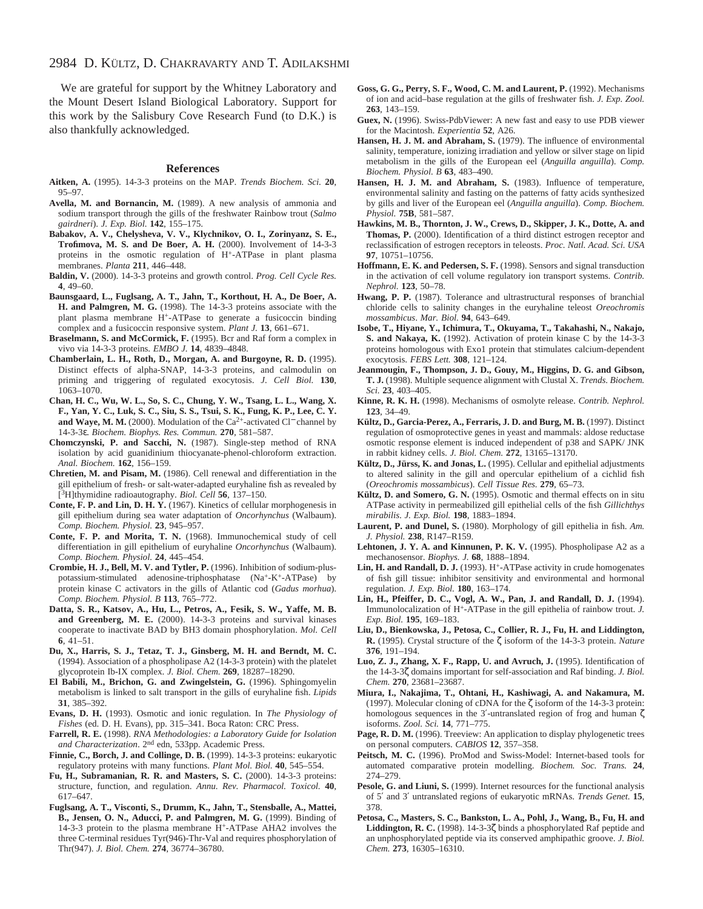We are grateful for support by the Whitney Laboratory and the Mount Desert Island Biological Laboratory. Support for this work by the Salisbury Cove Research Fund (to D.K.) is also thankfully acknowledged.

#### **References**

- **Aitken, A.** (1995). 14-3-3 proteins on the MAP. *Trends Biochem. Sci.* **20**, 95–97.
- **Avella, M. and Bornancin, M.** (1989). A new analysis of ammonia and sodium transport through the gills of the freshwater Rainbow trout (*Salmo gairdneri*). *J. Exp. Biol.* **142**, 155–175.
- **Babakov, A. V., Chelysheva, V. V., Klychnikov, O. I., Zorinyanz, S. E., Trofimova, M. S. and De Boer, A. H.** (2000). Involvement of 14-3-3 proteins in the osmotic regulation of H+-ATPase in plant plasma membranes. *Planta* **211**, 446–448.
- **Baldin, V.** (2000). 14-3-3 proteins and growth control. *Prog. Cell Cycle Res.* **4**, 49–60.
- **Baunsgaard, L., Fuglsang, A. T., Jahn, T., Korthout, H. A., De Boer, A. H. and Palmgren, M. G.** (1998). The 14-3-3 proteins associate with the plant plasma membrane H+-ATPase to generate a fusicoccin binding complex and a fusicoccin responsive system. *Plant J.* **13**, 661–671.
- **Braselmann, S. and McCormick, F.** (1995). Bcr and Raf form a complex in vivo via 14-3-3 proteins. *EMBO J.* **14**, 4839–4848.
- **Chamberlain, L. H., Roth, D., Morgan, A. and Burgoyne, R. D.** (1995). Distinct effects of alpha-SNAP, 14-3-3 proteins, and calmodulin on priming and triggering of regulated exocytosis. *J. Cell Biol.* **130**, 1063–1070.
- **Chan, H. C., Wu, W. L., So, S. C., Chung, Y. W., Tsang, L. L., Wang, X. F., Yan, Y. C., Luk, S. C., Siu, S. S., Tsui, S. K., Fung, K. P., Lee, C. Y.** and Waye, M. M. (2000). Modulation of the Ca<sup>2+</sup>-activated Cl<sup>−</sup> channel by 14-3-3ε. *Biochem. Biophys. Res. Commun.* **270**, 581–587.
- **Chomczynski, P. and Sacchi, N.** (1987). Single-step method of RNA isolation by acid guanidinium thiocyanate-phenol-chloroform extraction. *Anal. Biochem.* **162**, 156–159.
- **Chretien, M. and Pisam, M.** (1986). Cell renewal and differentiation in the gill epithelium of fresh- or salt-water-adapted euryhaline fish as revealed by [3H]thymidine radioautography. *Biol. Cell* **56**, 137–150.
- **Conte, F. P. and Lin, D. H. Y.** (1967). Kinetics of cellular morphogenesis in gill epithelium during sea water adaptation of *Oncorhynchus* (Walbaum). *Comp. Biochem. Physiol.* **23**, 945–957.
- **Conte, F. P. and Morita, T. N.** (1968). Immunochemical study of cell differentiation in gill epithelium of euryhaline *Oncorhynchus* (Walbaum). *Comp. Biochem. Physiol.* **24**, 445–454.
- **Crombie, H. J., Bell, M. V. and Tytler, P.** (1996). Inhibition of sodium-pluspotassium-stimulated adenosine-triphosphatase (Na+-K+-ATPase) by protein kinase C activators in the gills of Atlantic cod (*Gadus morhua*). *Comp. Biochem. Physiol. B* **113**, 765–772.
- **Datta, S. R., Katsov, A., Hu, L., Petros, A., Fesik, S. W., Yaffe, M. B. and Greenberg, M. E.** (2000). 14-3-3 proteins and survival kinases cooperate to inactivate BAD by BH3 domain phosphorylation. *Mol. Cell* **6**, 41–51.
- **Du, X., Harris, S. J., Tetaz, T. J., Ginsberg, M. H. and Berndt, M. C.** (1994). Association of a phospholipase A2 (14-3-3 protein) with the platelet glycoprotein Ib-IX complex. *J. Biol. Chem.* **269**, 18287–18290.
- **El Babili, M., Brichon, G. and Zwingelstein, G.** (1996). Sphingomyelin metabolism is linked to salt transport in the gills of euryhaline fish. *Lipids* **31**, 385–392.
- **Evans, D. H.** (1993). Osmotic and ionic regulation. In *The Physiology of Fishes* (ed. D. H. Evans), pp. 315–341. Boca Raton: CRC Press.
- **Farrell, R. E.** (1998). *RNA Methodologies: a Laboratory Guide for Isolation and Characterization*. 2nd edn, 533pp. Academic Press.
- **Finnie, C., Borch, J. and Collinge, D. B.** (1999). 14-3-3 proteins: eukaryotic regulatory proteins with many functions. *Plant Mol. Biol.* **40**, 545–554.
- **Fu, H., Subramanian, R. R. and Masters, S. C.** (2000). 14-3-3 proteins: structure, function, and regulation. *Annu. Rev. Pharmacol. Toxicol.* **40**, 617–647.
- **Fuglsang, A. T., Visconti, S., Drumm, K., Jahn, T., Stensballe, A., Mattei, B., Jensen, O. N., Aducci, P. and Palmgren, M. G.** (1999). Binding of 14-3-3 protein to the plasma membrane H+-ATPase AHA2 involves the three C-terminal residues Tyr(946)-Thr-Val and requires phosphorylation of Thr(947). *J. Biol. Chem.* **274**, 36774–36780.
- **Goss, G. G., Perry, S. F., Wood, C. M. and Laurent, P.** (1992). Mechanisms of ion and acid–base regulation at the gills of freshwater fish. *J. Exp. Zool.* **263**, 143–159.
- **Guex, N.** (1996). Swiss-PdbViewer: A new fast and easy to use PDB viewer for the Macintosh. *Experientia* **52**, A26.
- **Hansen, H. J. M. and Abraham, S.** (1979). The influence of environmental salinity, temperature, ionizing irradiation and yellow or silver stage on lipid metabolism in the gills of the European eel (*Anguilla anguilla*). *Comp. Biochem. Physiol. B* **63**, 483–490.
- **Hansen, H. J. M. and Abraham, S.** (1983). Influence of temperature, environmental salinity and fasting on the patterns of fatty acids synthesized by gills and liver of the European eel (*Anguilla anguilla*). *Comp. Biochem. Physiol.* **75B**, 581–587.
- **Hawkins, M. B., Thornton, J. W., Crews, D., Skipper, J. K., Dotte, A. and Thomas, P.** (2000). Identification of a third distinct estrogen receptor and reclassification of estrogen receptors in teleosts. *Proc. Natl. Acad. Sci. USA* **97**, 10751–10756.
- **Hoffmann, E. K. and Pedersen, S. F.** (1998). Sensors and signal transduction in the activation of cell volume regulatory ion transport systems. *Contrib. Nephrol.* **123**, 50–78.
- **Hwang, P. P.** (1987). Tolerance and ultrastructural responses of branchial chloride cells to salinity changes in the euryhaline teleost *Oreochromis mossambicus*. *Mar. Biol.* **94**, 643–649.
- **Isobe, T., Hiyane, Y., Ichimura, T., Okuyama, T., Takahashi, N., Nakajo, S. and Nakaya, K.** (1992). Activation of protein kinase C by the 14-3-3 proteins homologous with Exo1 protein that stimulates calcium-dependent exocytosis. *FEBS Lett.* **308**, 121–124.
- **Jeanmougin, F., Thompson, J. D., Gouy, M., Higgins, D. G. and Gibson, T. J.** (1998). Multiple sequence alignment with Clustal X. *Trends. Biochem. Sci.* **23**, 403–405.
- **Kinne, R. K. H.** (1998). Mechanisms of osmolyte release. *Contrib. Nephrol.* **123**, 34–49.
- Kültz, D., Garcia-Perez, A., Ferraris, J. D. and Burg, M. B. (1997). Distinct regulation of osmoprotective genes in yeast and mammals: aldose reductase osmotic response element is induced independent of p38 and SAPK/ JNK in rabbit kidney cells. *J. Biol. Chem.* **272**, 13165–13170.
- **Kültz, D., Jürss, K. and Jonas, L.** (1995). Cellular and epithelial adjustments to altered salinity in the gill and opercular epithelium of a cichlid fish (*Oreochromis mossambicus*). *Cell Tissue Res.* **279**, 65–73.
- **Kültz, D. and Somero, G. N.** (1995). Osmotic and thermal effects on in situ ATPase activity in permeabilized gill epithelial cells of the fish *Gillichthys mirabilis*. *J. Exp. Biol.* **198**, 1883–1894.
- **Laurent, P. and Dunel, S.** (1980). Morphology of gill epithelia in fish. *Am. J. Physiol.* **238**, R147–R159.
- **Lehtonen, J. Y. A. and Kinnunen, P. K. V.** (1995). Phospholipase A2 as a mechanosensor. *Biophys. J.* **68**, 1888–1894.
- Lin, H. and Randall, D. J. (1993). H<sup>+</sup>-ATPase activity in crude homogenates of fish gill tissue: inhibitor sensitivity and environmental and hormonal regulation. *J. Exp. Biol.* **180**, 163–174.
- **Lin, H., Pfeiffer, D. C., Vogl, A. W., Pan, J. and Randall, D. J.** (1994). Immunolocalization of H+-ATPase in the gill epithelia of rainbow trout. *J. Exp. Biol.* **195**, 169–183.
- **Liu, D., Bienkowska, J., Petosa, C., Collier, R. J., Fu, H. and Liddington, R.** (1995). Crystal structure of the ζ isoform of the 14-3-3 protein. *Nature* **376**, 191–194.
- **Luo, Z. J., Zhang, X. F., Rapp, U. and Avruch, J.** (1995). Identification of the 14-3-3ζ domains important for self-association and Raf binding. *J. Biol. Chem.* **270**, 23681–23687.
- **Miura, I., Nakajima, T., Ohtani, H., Kashiwagi, A. and Nakamura, M.** (1997). Molecular cloning of cDNA for the ζ isoform of the 14-3-3 protein: homologous sequences in the 3′-untranslated region of frog and human ζ isoforms. *Zool. Sci.* **14**, 771–775.
- Page, R. D. M. (1996). Treeview: An application to display phylogenetic trees on personal computers. *CABIOS* **12**, 357–358.
- **Peitsch, M. C.** (1996). ProMod and Swiss-Model: Internet-based tools for automated comparative protein modelling. *Biochem. Soc. Trans.* **24**, 274–279.
- Pesole, G. and Liuni, S. (1999). Internet resources for the functional analysis of 5′ and 3′ untranslated regions of eukaryotic mRNAs. *Trends Genet.* **15**, 378.
- **Petosa, C., Masters, S. C., Bankston, L. A., Pohl, J., Wang, B., Fu, H. and Liddington, R. C.** (1998). 14-3-3ζ binds a phosphorylated Raf peptide and an unphosphorylated peptide via its conserved amphipathic groove. *J. Biol. Chem.* **273**, 16305–16310.